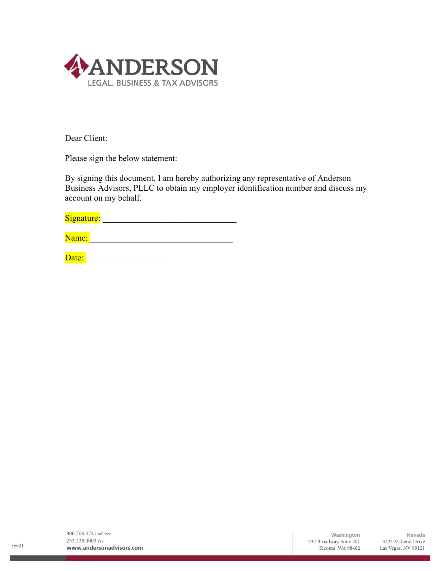

Dear Client:

Please sign the below statement:

By signing this document, I am hereby authorizing any representative of Anderson Business Advisors, PLLC to obtain my employer identification number and discuss my account on my behalf.

Date: